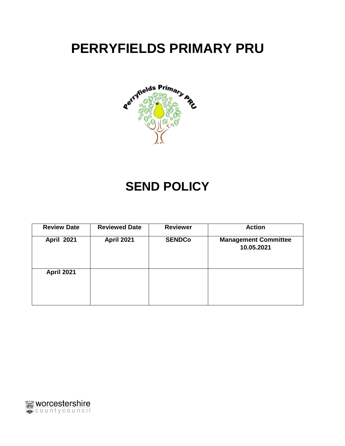# **PERRYFIELDS PRIMARY PRU**



## **SEND POLICY**

| <b>Review Date</b> | <b>Reviewed Date</b> | <b>Reviewer</b> | <b>Action</b>                             |
|--------------------|----------------------|-----------------|-------------------------------------------|
| <b>April 2021</b>  | April 2021           | <b>SENDCo</b>   | <b>Management Committee</b><br>10.05.2021 |
| <b>April 2021</b>  |                      |                 |                                           |

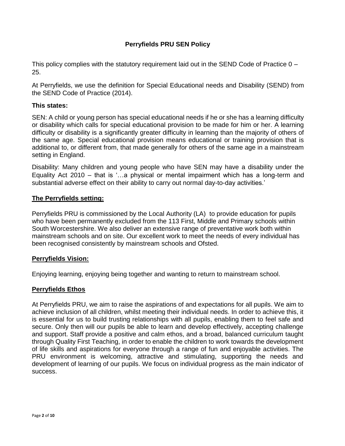## **Perryfields PRU SEN Policy**

This policy complies with the statutory requirement laid out in the SEND Code of Practice 0 – 25.

At Perryfields, we use the definition for Special Educational needs and Disability (SEND) from the SEND Code of Practice (2014).

#### **This states:**

SEN: A child or young person has special educational needs if he or she has a learning difficulty or disability which calls for special educational provision to be made for him or her. A learning difficulty or disability is a significantly greater difficulty in learning than the majority of others of the same age. Special educational provision means educational or training provision that is additional to, or different from, that made generally for others of the same age in a mainstream setting in England.

Disability: Many children and young people who have SEN may have a disability under the Equality Act 2010 – that is '…a physical or mental impairment which has a long-term and substantial adverse effect on their ability to carry out normal day-to-day activities.'

#### **The Perryfields setting:**

Perryfields PRU is commissioned by the Local Authority (LA) to provide education for pupils who have been permanently excluded from the 113 First, Middle and Primary schools within South Worcestershire. We also deliver an extensive range of preventative work both within mainstream schools and on site. Our excellent work to meet the needs of every individual has been recognised consistently by mainstream schools and Ofsted.

#### **Perryfields Vision:**

Enjoying learning, enjoying being together and wanting to return to mainstream school.

#### **Perryfields Ethos**

At Perryfields PRU, we aim to raise the aspirations of and expectations for all pupils. We aim to achieve inclusion of all children, whilst meeting their individual needs. In order to achieve this, it is essential for us to build trusting relationships with all pupils, enabling them to feel safe and secure. Only then will our pupils be able to learn and develop effectively, accepting challenge and support. Staff provide a positive and calm ethos, and a broad, balanced curriculum taught through Quality First Teaching, in order to enable the children to work towards the development of life skills and aspirations for everyone through a range of fun and enjoyable activities. The PRU environment is welcoming, attractive and stimulating, supporting the needs and development of learning of our pupils. We focus on individual progress as the main indicator of success.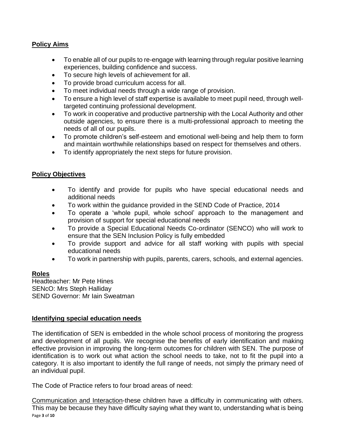## **Policy Aims**

- To enable all of our pupils to re-engage with learning through regular positive learning experiences, building confidence and success.
- To secure high levels of achievement for all.
- To provide broad curriculum access for all.
- To meet individual needs through a wide range of provision.
- To ensure a high level of staff expertise is available to meet pupil need, through welltargeted continuing professional development.
- To work in cooperative and productive partnership with the Local Authority and other outside agencies, to ensure there is a multi-professional approach to meeting the needs of all of our pupils.
- To promote children's self-esteem and emotional well-being and help them to form and maintain worthwhile relationships based on respect for themselves and others.
- To identify appropriately the next steps for future provision.

#### **Policy Objectives**

- To identify and provide for pupils who have special educational needs and additional needs
- To work within the guidance provided in the SEND Code of Practice, 2014
- To operate a 'whole pupil, whole school' approach to the management and provision of support for special educational needs
- To provide a Special Educational Needs Co-ordinator (SENCO) who will work to ensure that the SEN Inclusion Policy is fully embedded
- To provide support and advice for all staff working with pupils with special educational needs
- To work in partnership with pupils, parents, carers, schools, and external agencies.

#### **Roles**

Headteacher: Mr Pete Hines SENcO: Mrs Steph Halliday SEND Governor: Mr Iain Sweatman

#### **Identifying special education needs**

The identification of SEN is embedded in the whole school process of monitoring the progress and development of all pupils. We recognise the benefits of early identification and making effective provision in improving the long-term outcomes for children with SEN. The purpose of identification is to work out what action the school needs to take, not to fit the pupil into a category. It is also important to identify the full range of needs, not simply the primary need of an individual pupil.

The Code of Practice refers to four broad areas of need:

Page **3** of **10** Communication and Interaction-these children have a difficulty in communicating with others. This may be because they have difficulty saying what they want to, understanding what is being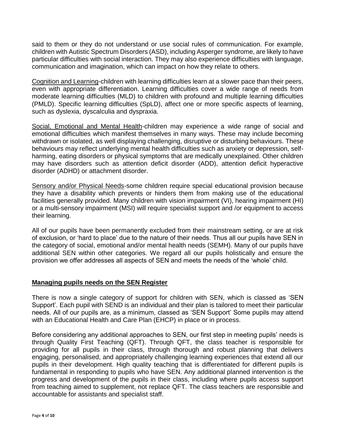said to them or they do not understand or use social rules of communication. For example, children with Autistic Spectrum Disorders (ASD), including Asperger syndrome, are likely to have particular difficulties with social interaction. They may also experience difficulties with language, communication and imagination, which can impact on how they relate to others.

Cognition and Learning-children with learning difficulties learn at a slower pace than their peers, even with appropriate differentiation. Learning difficulties cover a wide range of needs from moderate learning difficulties (MLD) to children with profound and multiple learning difficulties (PMLD). Specific learning difficulties (SpLD), affect one or more specific aspects of learning, such as dyslexia, dyscalculia and dyspraxia.

Social, Emotional and Mental Health-children may experience a wide range of social and emotional difficulties which manifest themselves in many ways. These may include becoming withdrawn or isolated, as well displaying challenging, disruptive or disturbing behaviours. These behaviours may reflect underlying mental health difficulties such as anxiety or depression, selfharming, eating disorders or physical symptoms that are medically unexplained. Other children may have disorders such as attention deficit disorder (ADD), attention deficit hyperactive disorder (ADHD) or attachment disorder.

Sensory and/or Physical Needs-some children require special educational provision because they have a disability which prevents or hinders them from making use of the educational facilities generally provided. Many children with vision impairment (VI), hearing impairment (HI) or a multi-sensory impairment (MSI) will require specialist support and /or equipment to access their learning.

All of our pupils have been permanently excluded from their mainstream setting, or are at risk of exclusion, or 'hard to place' due to the nature of their needs. Thus all our pupils have SEN in the category of social, emotional and/or mental health needs (SEMH). Many of our pupils have additional SEN within other categories. We regard all our pupils holistically and ensure the provision we offer addresses all aspects of SEN and meets the needs of the 'whole' child.

## **Managing pupils needs on the SEN Register**

There is now a single category of support for children with SEN, which is classed as 'SEN Support'. Each pupil with SEND is an individual and their plan is tailored to meet their particular needs. All of our pupils are, as a minimum, classed as 'SEN Support' Some pupils may attend with an Educational Health and Care Plan (EHCP) in place or in process.

Before considering any additional approaches to SEN, our first step in meeting pupils' needs is through Quality First Teaching (QFT). Through QFT, the class teacher is responsible for providing for all pupils in their class, through thorough and robust planning that delivers engaging, personalised, and appropriately challenging learning experiences that extend all our pupils in their development. High quality teaching that is differentiated for different pupils is fundamental in responding to pupils who have SEN. Any additional planned intervention is the progress and development of the pupils in their class, including where pupils access support from teaching aimed to supplement, not replace QFT. The class teachers are responsible and accountable for assistants and specialist staff.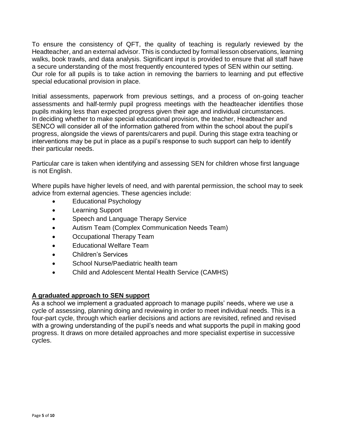To ensure the consistency of QFT, the quality of teaching is regularly reviewed by the Headteacher, and an external advisor. This is conducted by formal lesson observations, learning walks, book trawls, and data analysis. Significant input is provided to ensure that all staff have a secure understanding of the most frequently encountered types of SEN within our setting. Our role for all pupils is to take action in removing the barriers to learning and put effective special educational provision in place.

Initial assessments, paperwork from previous settings, and a process of on-going teacher assessments and half-termly pupil progress meetings with the headteacher identifies those pupils making less than expected progress given their age and individual circumstances. In deciding whether to make special educational provision, the teacher, Headteacher and SENCO will consider all of the information gathered from within the school about the pupil's progress, alongside the views of parents/carers and pupil. During this stage extra teaching or interventions may be put in place as a pupil's response to such support can help to identify their particular needs.

Particular care is taken when identifying and assessing SEN for children whose first language is not English.

Where pupils have higher levels of need, and with parental permission, the school may to seek advice from external agencies. These agencies include:

- Educational Psychology
- Learning Support
- Speech and Language Therapy Service
- Autism Team (Complex Communication Needs Team)
- Occupational Therapy Team
- Educational Welfare Team
- Children's Services
- School Nurse/Paediatric health team
- Child and Adolescent Mental Health Service (CAMHS)

## **A graduated approach to SEN support**

As a school we implement a graduated approach to manage pupils' needs, where we use a cycle of assessing, planning doing and reviewing in order to meet individual needs. This is a four-part cycle, through which earlier decisions and actions are revisited, refined and revised with a growing understanding of the pupil's needs and what supports the pupil in making good progress. It draws on more detailed approaches and more specialist expertise in successive cycles.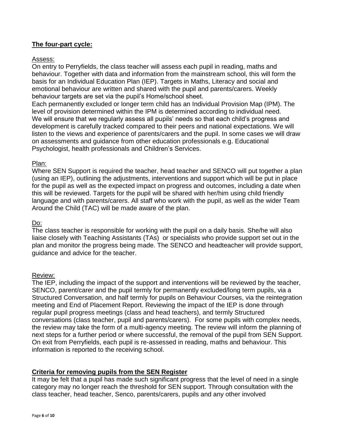#### **The four-part cycle:**

#### Assess:

On entry to Perryfields, the class teacher will assess each pupil in reading, maths and behaviour. Together with data and information from the mainstream school, this will form the basis for an Individual Education Plan (IEP). Targets in Maths, Literacy and social and emotional behaviour are written and shared with the pupil and parents/carers. Weekly behaviour targets are set via the pupil's Home/school sheet.

Each permanently excluded or longer term child has an Individual Provision Map (IPM). The level of provision determined within the IPM is determined according to individual need. We will ensure that we regularly assess all pupils' needs so that each child's progress and development is carefully tracked compared to their peers and national expectations. We will listen to the views and experience of parents/carers and the pupil. In some cases we will draw on assessments and guidance from other education professionals e.g. Educational Psychologist, health professionals and Children's Services.

#### Plan:

Where SEN Support is required the teacher, head teacher and SENCO will put together a plan (using an IEP), outlining the adjustments, interventions and support which will be put in place for the pupil as well as the expected impact on progress and outcomes, including a date when this will be reviewed. Targets for the pupil will be shared with her/him using child friendly language and with parents/carers. All staff who work with the pupil, as well as the wider Team Around the Child (TAC) will be made aware of the plan.

#### Do:

The class teacher is responsible for working with the pupil on a daily basis. She/he will also liaise closely with Teaching Assistants (TAs) or specialists who provide support set out in the plan and monitor the progress being made. The SENCO and headteacher will provide support, guidance and advice for the teacher.

#### Review:

The IEP, including the impact of the support and interventions will be reviewed by the teacher, SENCO, parent/carer and the pupil termly for permanently excluded/long term pupils, via a Structured Conversation, and half termly for pupils on Behaviour Courses, via the reintegration meeting and End of Placement Report. Reviewing the impact of the IEP is done through regular pupil progress meetings (class and head teachers), and termly Structured conversations (class teacher, pupil and parents/carers). For some pupils with complex needs, the review may take the form of a multi-agency meeting. The review will inform the planning of next steps for a further period or where successful, the removal of the pupil from SEN Support. On exit from Perryfields, each pupil is re-assessed in reading, maths and behaviour. This information is reported to the receiving school.

#### **Criteria for removing pupils from the SEN Register**

It may be felt that a pupil has made such significant progress that the level of need in a single category may no longer reach the threshold for SEN support. Through consultation with the class teacher, head teacher, Senco, parents/carers, pupils and any other involved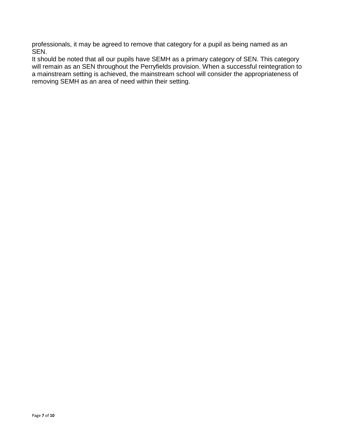professionals, it may be agreed to remove that category for a pupil as being named as an SEN.

It should be noted that all our pupils have SEMH as a primary category of SEN. This category will remain as an SEN throughout the Perryfields provision. When a successful reintegration to a mainstream setting is achieved, the mainstream school will consider the appropriateness of removing SEMH as an area of need within their setting.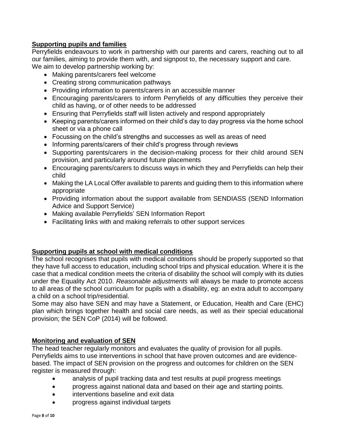## **Supporting pupils and families**

Perryfields endeavours to work in partnership with our parents and carers, reaching out to all our families, aiming to provide them with, and signpost to, the necessary support and care. We aim to develop partnership working by:

- Making parents/carers feel welcome
- Creating strong communication pathways
- Providing information to parents/carers in an accessible manner
- Encouraging parents/carers to inform Perryfields of any difficulties they perceive their child as having, or of other needs to be addressed
- Ensuring that Perryfields staff will listen actively and respond appropriately
- Keeping parents/carers informed on their child's day to day progress via the home school sheet or via a phone call
- Focussing on the child's strengths and successes as well as areas of need
- Informing parents/carers of their child's progress through reviews
- Supporting parents/carers in the decision-making process for their child around SEN provision, and particularly around future placements
- Encouraging parents/carers to discuss ways in which they and Perryfields can help their child
- Making the LA Local Offer available to parents and guiding them to this information where appropriate
- Providing information about the support available from SENDIASS (SEND Information Advice and Support Service)
- Making available Perryfields' SEN Information Report
- Facilitating links with and making referrals to other support services

#### **Supporting pupils at school with medical conditions**

The school recognises that pupils with medical conditions should be properly supported so that they have full access to education, including school trips and physical education. Where it is the case that a medical condition meets the criteria of disability the school will comply with its duties under the Equality Act 2010. *Reasonable adjustments* will always be made to promote access to all areas of the school curriculum for pupils with a disability, eg: an extra adult to accompany a child on a school trip/residential.

Some may also have SEN and may have a Statement, or Education, Health and Care (EHC) plan which brings together health and social care needs, as well as their special educational provision; the SEN CoP (2014) will be followed.

#### **Monitoring and evaluation of SEN**

The head teacher regularly monitors and evaluates the quality of provision for all pupils. Perryfields aims to use interventions in school that have proven outcomes and are evidencebased. The impact of SEN provision on the progress and outcomes for children on the SEN register is measured through:

- analysis of pupil tracking data and test results at pupil progress meetings
- progress against national data and based on their age and starting points.
- interventions baseline and exit data
- progress against individual targets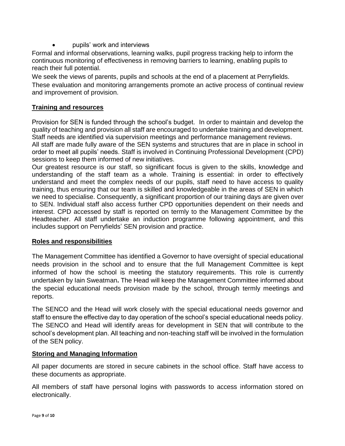pupils' work and interviews

Formal and informal observations, learning walks, pupil progress tracking help to inform the continuous monitoring of effectiveness in removing barriers to learning, enabling pupils to reach their full potential.

We seek the views of parents, pupils and schools at the end of a placement at Perryfields. These evaluation and monitoring arrangements promote an active process of continual review and improvement of provision.

#### **Training and resources**

Provision for SEN is funded through the school's budget. In order to maintain and develop the quality of teaching and provision all staff are encouraged to undertake training and development. Staff needs are identified via supervision meetings and performance management reviews. All staff are made fully aware of the SEN systems and structures that are in place in school in order to meet all pupils' needs. Staff is involved in Continuing Professional Development (CPD) sessions to keep them informed of new initiatives.

Our greatest resource is our staff, so significant focus is given to the skills, knowledge and understanding of the staff team as a whole. Training is essential: in order to effectively understand and meet the complex needs of our pupils, staff need to have access to quality training, thus ensuring that our team is skilled and knowledgeable in the areas of SEN in which we need to specialise. Consequently, a significant proportion of our training days are given over to SEN. Individual staff also access further CPD opportunities dependent on their needs and interest. CPD accessed by staff is reported on termly to the Management Committee by the Headteacher. All staff undertake an induction programme following appointment, and this includes support on Perryfields' SEN provision and practice.

#### **Roles and responsibilities**

The Management Committee has identified a Governor to have oversight of special educational needs provision in the school and to ensure that the full Management Committee is kept informed of how the school is meeting the statutory requirements. This role is currently undertaken by Iain Sweatman**.** The Head will keep the Management Committee informed about the special educational needs provision made by the school, through termly meetings and reports.

The SENCO and the Head will work closely with the special educational needs governor and staff to ensure the effective day to day operation of the school's special educational needs policy. The SENCO and Head will identify areas for development in SEN that will contribute to the school's development plan. All teaching and non-teaching staff will be involved in the formulation of the SEN policy.

#### **Storing and Managing Information**

All paper documents are stored in secure cabinets in the school office. Staff have access to these documents as appropriate.

All members of staff have personal logins with passwords to access information stored on electronically.